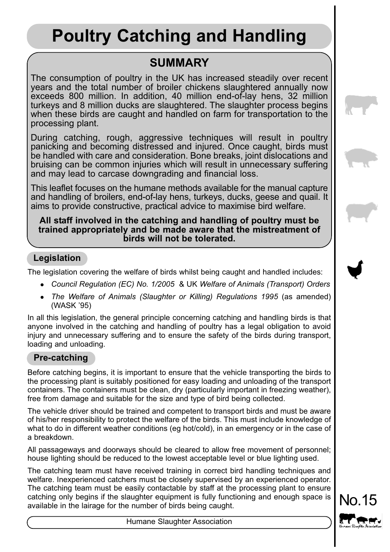# **Poultry Catching and Handling**

# **SUMMARY**

The consumption of poultry in the UK has increased steadily over recent years and the total number of broiler chickens slaughtered annually now exceeds 800 million. In addition, 40 million end-of-lay hens, 32 million turkeys and 8 million ducks are slaughtered. The slaughter process begins when these birds are caught and handled on farm for transportation to the processing plant.

During catching, rough, aggressive techniques will result in poultry panicking and becoming distressed and injured. Once caught, birds must be handled with care and consideration. Bone breaks, joint dislocations and bruising can be common injuries which will result in unnecessary suffering and may lead to carcase downgrading and financial loss.

This leaflet focuses on the humane methods available for the manual capture and handling of broilers, end-of-lay hens, turkeys, ducks, geese and quail. It aims to provide constructive, practical advice to maximise bird welfare.

#### **All staff involved in the catching and handling of poultry must be trained appropriately and be made aware that the mistreatment of birds will not be tolerated.**

# **Legislation**

The legislation covering the welfare of birds whilst being caught and handled includes:

- <sup>l</sup> *Council Regulation (EC) No. 1/2005* & UK *Welfare of Animals (Transport) Orders*
- The Welfare of Animals (Slaughter or Killing) Regulations 1995 (as amended) (WASK '95)

In all this legislation, the general principle concerning catching and handling birds is that anyone involved in the catching and handling of poultry has a legal obligation to avoid injury and unnecessary suffering and to ensure the safety of the birds during transport, loading and unloading.

# **Pre-catching**

Before catching begins, it is important to ensure that the vehicle transporting the birds to the processing plant is suitably positioned for easy loading and unloading of the transport containers. The containers must be clean, dry (particularly important in freezing weather), free from damage and suitable for the size and type of bird being collected.

The vehicle driver should be trained and competent to transport birds and must be aware of his/her responsibility to protect the welfare of the birds. This must include knowledge of what to do in different weather conditions (eg hot/cold), in an emergency or in the case of a breakdown.

All passageways and doorways should be cleared to allow free movement of personnel; house lighting should be reduced to the lowest acceptable level or blue lighting used.

The catching team must have received training in correct bird handling techniques and welfare. Inexperienced catchers must be closely supervised by an experienced operator. The catching team must be easily contactable by staff at the processing plant to ensure catching only begins if the slaughter equipment is fully functioning and enough space is available in the lairage for the number of birds being caught.



Humane Slaughter Association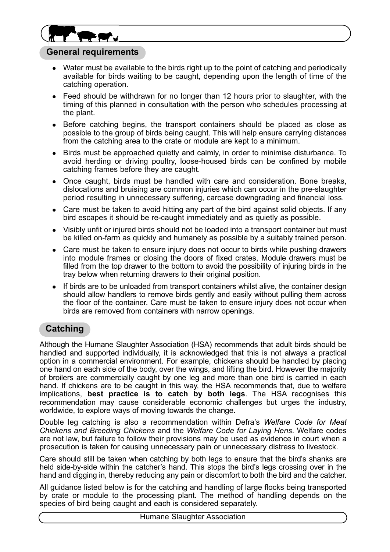

### **General requirements**

- Water must be available to the birds right up to the point of catching and periodically available for birds waiting to be caught, depending upon the length of time of the catching operation.
- Feed should be withdrawn for no longer than 12 hours prior to slaughter, with the timing of this planned in consultation with the person who schedules processing at the plant.
- <sup>l</sup> Before catching begins, the transport containers should be placed as close as possible to the group of birds being caught. This will help ensure carrying distances from the catching area to the crate or module are kept to a minimum.
- Birds must be approached quietly and calmly, in order to minimise disturbance. To avoid herding or driving poultry, loose-housed birds can be confined by mobile catching frames before they are caught.
- Once caught, birds must be handled with care and consideration. Bone breaks, dislocations and bruising are common injuries which can occur in the pre-slaughter period resulting in unnecessary suffering, carcase downgrading and financial loss.
- Care must be taken to avoid hitting any part of the bird against solid objects. If any bird escapes it should be re-caught immediately and as quietly as possible.
- Visibly unfit or injured birds should not be loaded into a transport container but must be killed on-farm as quickly and humanely as possible by a suitably trained person.
- <sup>l</sup> Care must be taken to ensure injury does not occur to birds while pushing drawers into module frames or closing the doors of fixed crates. Module drawers must be filled from the top drawer to the bottom to avoid the possibility of injuring birds in the tray below when returning drawers to their original position.
- If birds are to be unloaded from transport containers whilst alive, the container design should allow handlers to remove birds gently and easily without pulling them across the floor of the container. Care must be taken to ensure injury does not occur when birds are removed from containers with narrow openings.

# **Catching**

Although the Humane Slaughter Association (HSA) recommends that adult birds should be handled and supported individually, it is acknowledged that this is not always a practical option in a commercial environment. For example, chickens should be handled by placing one hand on each side of the body, over the wings, and lifting the bird. However the majority of broilers are commercially caught by one leg and more than one bird is carried in each hand. If chickens are to be caught in this way, the HSA recommends that, due to welfare implications, **best practice is to catch by both legs**. The HSA recognises this recommendation may cause considerable economic challenges but urges the industry, worldwide, to explore ways of moving towards the change.

Double leg catching is also a recommendation within Defra's *Welfare Code for Meat Chickens and Breeding Chickens* and the *Welfare Code for Laying Hens*. Welfare codes are not law, but failure to follow their provisions may be used as evidence in court when a prosecution is taken for causing unnecessary pain or unnecessary distress to livestock.

Care should still be taken when catching by both legs to ensure that the bird's shanks are held side-by-side within the catcher's hand. This stops the bird's legs crossing over in the hand and digging in, thereby reducing any pain or discomfort to both the bird and the catcher.

All guidance listed below is for the catching and handling of large flocks being transported by crate or module to the processing plant. The method of handling depends on the species of bird being caught and each is considered separately.

Humane Slaughter Association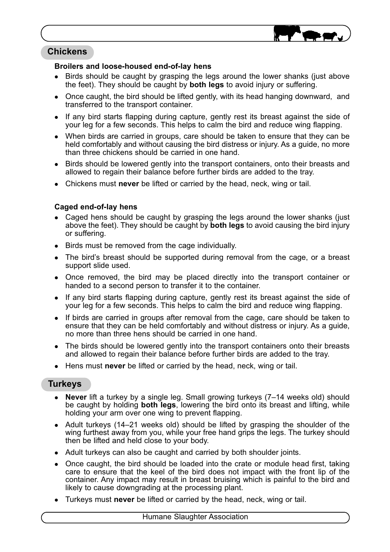

# **Chickens**

#### **Broilers and loose-housed end-of-lay hens**

- Birds should be caught by grasping the legs around the lower shanks (just above the feet). They should be caught by **both legs** to avoid injury or suffering.
- <sup>l</sup> Once caught, the bird should be lifted gently, with its head hanging downward, and transferred to the transport container.
- If any bird starts flapping during capture, gently rest its breast against the side of your leg for a few seconds. This helps to calm the bird and reduce wing flapping.
- When birds are carried in groups, care should be taken to ensure that they can be held comfortably and without causing the bird distress or injury. As a guide, no more than three chickens should be carried in one hand.
- Birds should be lowered gently into the transport containers, onto their breasts and allowed to regain their balance before further birds are added to the tray.
- <sup>l</sup> Chickens must **never** be lifted or carried by the head, neck, wing or tail.

#### **Caged end-of-lay hens**

- Caged hens should be caught by grasping the legs around the lower shanks (just above the feet). They should be caught by **both legs** to avoid causing the bird injury or suffering.
- Birds must be removed from the cage individually.
- The bird's breast should be supported during removal from the cage, or a breast support slide used.
- <sup>l</sup> Once removed, the bird may be placed directly into the transport container or handed to a second person to transfer it to the container.
- If any bird starts flapping during capture, gently rest its breast against the side of your leg for a few seconds. This helps to calm the bird and reduce wing flapping.
- If birds are carried in groups after removal from the cage, care should be taken to ensure that they can be held comfortably and without distress or injury. As a guide, no more than three hens should be carried in one hand.
- <sup>l</sup> The birds should be lowered gently into the transport containers onto their breasts and allowed to regain their balance before further birds are added to the tray.
- **.** Hens must **never** be lifted or carried by the head, neck, wing or tail.

## **Turkeys**

- <sup>l</sup> **Never** lift a turkey by a single leg. Small growing turkeys (7–14 weeks old) should be caught by holding **both legs**, lowering the bird onto its breast and lifting, while holding your arm over one wing to prevent flapping.
- Adult turkeys (14–21 weeks old) should be lifted by grasping the shoulder of the wing furthest away from you, while your free hand grips the legs. The turkey should then be lifted and held close to your body.
- Adult turkeys can also be caught and carried by both shoulder joints.
- <sup>l</sup> Once caught, the bird should be loaded into the crate or module head first, taking care to ensure that the keel of the bird does not impact with the front lip of the container. Any impact may result in breast bruising which is painful to the bird and likely to cause downgrading at the processing plant.
- **Turkeys must never** be lifted or carried by the head, neck, wing or tail.